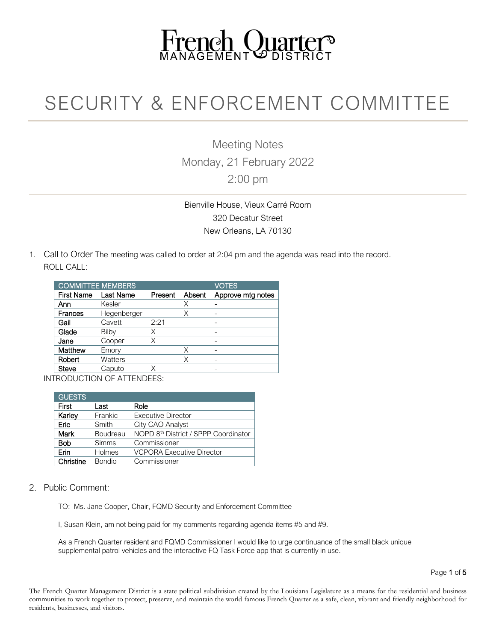# French Quarter

# SECURITY & ENFORCEMENT COMMITTEE

Meeting Notes Monday, 21 February 2022 2:00 pm

Bienville House, Vieux Carré Room 320 Decatur Street New Orleans, LA 70130

1. Call to Order The meeting was called to order at 2:04 pm and the agenda was read into the record. ROLL CALL:

|             | <b>COMMITTEE MEMBERS</b> |        |                             |
|-------------|--------------------------|--------|-----------------------------|
| Last Name   | Present                  | Absent | Approve mtg notes           |
| Kesler      |                          | Х      |                             |
| Hegenberger |                          | Х      |                             |
| Cavett      | 2:21                     |        |                             |
| Bilby       | Χ                        |        |                             |
| Cooper      | Χ                        |        |                             |
| Emory       |                          | Χ      |                             |
| Watters     |                          | Χ      |                             |
| Caputo      |                          |        | -                           |
|             |                          |        | TDODI IOTIONI OF ATTENDEED. |

INTRODUCTION OF ATTENDEES:

| <b>GUESTS</b> |               |                                                  |
|---------------|---------------|--------------------------------------------------|
| First         | Last          | Role                                             |
| Karley        | Frankic       | <b>Executive Director</b>                        |
| Eric          | Smith         | City CAO Analyst                                 |
| Mark          | Boudreau      | NOPD 8 <sup>th</sup> District / SPPP Coordinator |
| <b>Bob</b>    | <b>Simms</b>  | Commissioner                                     |
| Erin          | Holmes        | <b>VCPORA Executive Director</b>                 |
| Christine     | <b>Bondio</b> | Commissioner                                     |

#### 2. Public Comment:

TO: Ms. Jane Cooper, Chair, FQMD Security and Enforcement Committee

I, Susan Klein, am not being paid for my comments regarding agenda items #5 and #9.

As a French Quarter resident and FQMD Commissioner I would like to urge continuance of the small black unique supplemental patrol vehicles and the interactive FQ Task Force app that is currently in use.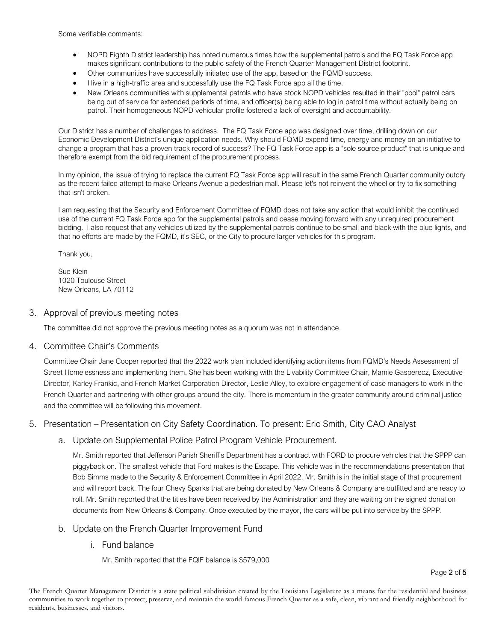Some verifiable comments:

- NOPD Eighth District leadership has noted numerous times how the supplemental patrols and the FQ Task Force app makes significant contributions to the public safety of the French Quarter Management District footprint.
- Other communities have successfully initiated use of the app, based on the FQMD success.
- I live in a high-traffic area and successfully use the FQ Task Force app all the time.
- New Orleans communities with supplemental patrols who have stock NOPD vehicles resulted in their "pool" patrol cars being out of service for extended periods of time, and officer(s) being able to log in patrol time without actually being on patrol. Their homogeneous NOPD vehicular profile fostered a lack of oversight and accountability.

Our District has a number of challenges to address. The FQ Task Force app was designed over time, drilling down on our Economic Development District's unique application needs. Why should FQMD expend time, energy and money on an initiative to change a program that has a proven track record of success? The FQ Task Force app is a "sole source product" that is unique and therefore exempt from the bid requirement of the procurement process.

In my opinion, the issue of trying to replace the current FQ Task Force app will result in the same French Quarter community outcry as the recent failed attempt to make Orleans Avenue a pedestrian mall. Please let's not reinvent the wheel or try to fix something that isn't broken.

I am requesting that the Security and Enforcement Committee of FQMD does not take any action that would inhibit the continued use of the current FQ Task Force app for the supplemental patrols and cease moving forward with any unrequired procurement bidding. I also request that any vehicles utilized by the supplemental patrols continue to be small and black with the blue lights, and that no efforts are made by the FQMD, it's SEC, or the City to procure larger vehicles for this program.

Thank you,

Sue Klein 1020 Toulouse Street New Orleans, LA 70112

#### 3. Approval of previous meeting notes

The committee did not approve the previous meeting notes as a quorum was not in attendance.

#### 4. Committee Chair's Comments

Committee Chair Jane Cooper reported that the 2022 work plan included identifying action items from FQMD's Needs Assessment of Street Homelessness and implementing them. She has been working with the Livability Committee Chair, Mamie Gasperecz, Executive Director, Karley Frankic, and French Market Corporation Director, Leslie Alley, to explore engagement of case managers to work in the French Quarter and partnering with other groups around the city. There is momentum in the greater community around criminal justice and the committee will be following this movement.

#### 5. Presentation – Presentation on City Safety Coordination. To present: Eric Smith, City CAO Analyst

#### a. Update on Supplemental Police Patrol Program Vehicle Procurement.

Mr. Smith reported that Jefferson Parish Sheriff's Department has a contract with FORD to procure vehicles that the SPPP can piggyback on. The smallest vehicle that Ford makes is the Escape. This vehicle was in the recommendations presentation that Bob Simms made to the Security & Enforcement Committee in April 2022. Mr. Smith is in the initial stage of that procurement and will report back. The four Chevy Sparks that are being donated by New Orleans & Company are outfitted and are ready to roll. Mr. Smith reported that the titles have been received by the Administration and they are waiting on the signed donation documents from New Orleans & Company. Once executed by the mayor, the cars will be put into service by the SPPP.

#### b. Update on the French Quarter Improvement Fund

i. Fund balance

Mr. Smith reported that the FQIF balance is \$579,000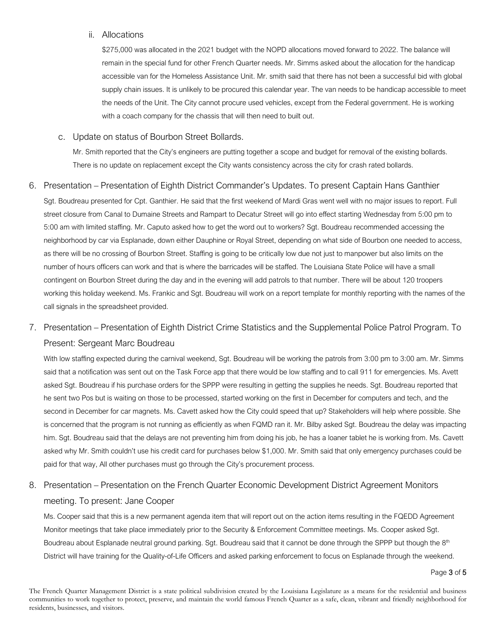#### ii. Allocations

\$275,000 was allocated in the 2021 budget with the NOPD allocations moved forward to 2022. The balance will remain in the special fund for other French Quarter needs. Mr. Simms asked about the allocation for the handicap accessible van for the Homeless Assistance Unit. Mr. smith said that there has not been a successful bid with global supply chain issues. It is unlikely to be procured this calendar year. The van needs to be handicap accessible to meet the needs of the Unit. The City cannot procure used vehicles, except from the Federal government. He is working with a coach company for the chassis that will then need to built out.

#### c. Update on status of Bourbon Street Bollards.

Mr. Smith reported that the City's engineers are putting together a scope and budget for removal of the existing bollards. There is no update on replacement except the City wants consistency across the city for crash rated bollards.

#### 6. Presentation – Presentation of Eighth District Commander's Updates. To present Captain Hans Ganthier

Sgt. Boudreau presented for Cpt. Ganthier. He said that the first weekend of Mardi Gras went well with no major issues to report. Full street closure from Canal to Dumaine Streets and Rampart to Decatur Street will go into effect starting Wednesday from 5:00 pm to 5:00 am with limited staffing. Mr. Caputo asked how to get the word out to workers? Sgt. Boudreau recommended accessing the neighborhood by car via Esplanade, down either Dauphine or Royal Street, depending on what side of Bourbon one needed to access, as there will be no crossing of Bourbon Street. Staffing is going to be critically low due not just to manpower but also limits on the number of hours officers can work and that is where the barricades will be staffed. The Louisiana State Police will have a small contingent on Bourbon Street during the day and in the evening will add patrols to that number. There will be about 120 troopers working this holiday weekend. Ms. Frankic and Sgt. Boudreau will work on a report template for monthly reporting with the names of the call signals in the spreadsheet provided.

## 7. Presentation – Presentation of Eighth District Crime Statistics and the Supplemental Police Patrol Program. To Present: Sergeant Marc Boudreau

With low staffing expected during the carnival weekend, Sgt. Boudreau will be working the patrols from 3:00 pm to 3:00 am. Mr. Simms said that a notification was sent out on the Task Force app that there would be low staffing and to call 911 for emergencies. Ms. Avett asked Sgt. Boudreau if his purchase orders for the SPPP were resulting in getting the supplies he needs. Sgt. Boudreau reported that he sent two Pos but is waiting on those to be processed, started working on the first in December for computers and tech, and the second in December for car magnets. Ms. Cavett asked how the City could speed that up? Stakeholders will help where possible. She is concerned that the program is not running as efficiently as when FQMD ran it. Mr. Bilby asked Sgt. Boudreau the delay was impacting him. Sgt. Boudreau said that the delays are not preventing him from doing his job, he has a loaner tablet he is working from. Ms. Cavett asked why Mr. Smith couldn't use his credit card for purchases below \$1,000. Mr. Smith said that only emergency purchases could be paid for that way, All other purchases must go through the City's procurement process.

# 8. Presentation – Presentation on the French Quarter Economic Development District Agreement Monitors meeting. To present: Jane Cooper

Ms. Cooper said that this is a new permanent agenda item that will report out on the action items resulting in the FQEDD Agreement Monitor meetings that take place immediately prior to the Security & Enforcement Committee meetings. Ms. Cooper asked Sgt. Boudreau about Esplanade neutral ground parking. Sgt. Boudreau said that it cannot be done through the SPPP but though the 8<sup>th</sup> District will have training for the Quality-of-Life Officers and asked parking enforcement to focus on Esplanade through the weekend.

#### Page 3 of 5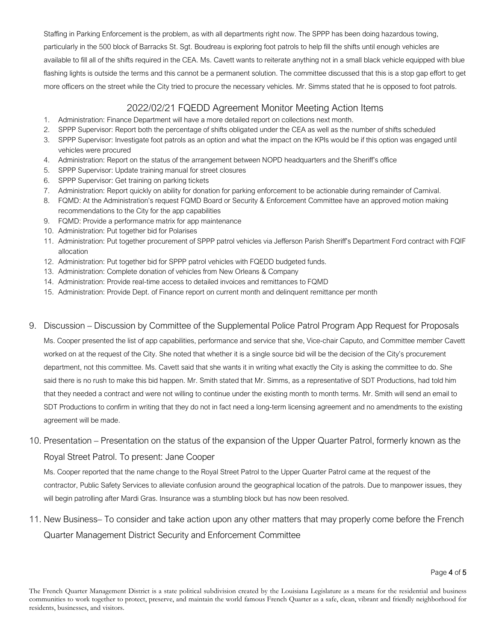Staffing in Parking Enforcement is the problem, as with all departments right now. The SPPP has been doing hazardous towing, particularly in the 500 block of Barracks St. Sgt. Boudreau is exploring foot patrols to help fill the shifts until enough vehicles are available to fill all of the shifts required in the CEA. Ms. Cavett wants to reiterate anything not in a small black vehicle equipped with blue flashing lights is outside the terms and this cannot be a permanent solution. The committee discussed that this is a stop gap effort to get more officers on the street while the City tried to procure the necessary vehicles. Mr. Simms stated that he is opposed to foot patrols.

### 2022/02/21 FQEDD Agreement Monitor Meeting Action Items

- 1. Administration: Finance Department will have a more detailed report on collections next month.
- 2. SPPP Supervisor: Report both the percentage of shifts obligated under the CEA as well as the number of shifts scheduled
- 3. SPPP Supervisor: Investigate foot patrols as an option and what the impact on the KPIs would be if this option was engaged until vehicles were procured
- 4. Administration: Report on the status of the arrangement between NOPD headquarters and the Sheriff's office
- 5. SPPP Supervisor: Update training manual for street closures
- 6. SPPP Supervisor: Get training on parking tickets
- 7. Administration: Report quickly on ability for donation for parking enforcement to be actionable during remainder of Carnival.
- 8. FQMD: At the Administration's request FQMD Board or Security & Enforcement Committee have an approved motion making recommendations to the City for the app capabilities
- 9. FQMD: Provide a performance matrix for app maintenance
- 10. Administration: Put together bid for Polarises
- 11. Administration: Put together procurement of SPPP patrol vehicles via Jefferson Parish Sheriff's Department Ford contract with FQIF allocation
- 12. Administration: Put together bid for SPPP patrol vehicles with FQEDD budgeted funds.
- 13. Administration: Complete donation of vehicles from New Orleans & Company
- 14. Administration: Provide real-time access to detailed invoices and remittances to FQMD
- 15. Administration: Provide Dept. of Finance report on current month and delinquent remittance per month

#### 9. Discussion – Discussion by Committee of the Supplemental Police Patrol Program App Request for Proposals

Ms. Cooper presented the list of app capabilities, performance and service that she, Vice-chair Caputo, and Committee member Cavett worked on at the request of the City. She noted that whether it is a single source bid will be the decision of the City's procurement department, not this committee. Ms. Cavett said that she wants it in writing what exactly the City is asking the committee to do. She said there is no rush to make this bid happen. Mr. Smith stated that Mr. Simms, as a representative of SDT Productions, had told him that they needed a contract and were not willing to continue under the existing month to month terms. Mr. Smith will send an email to SDT Productions to confirm in writing that they do not in fact need a long-term licensing agreement and no amendments to the existing agreement will be made.

# 10. Presentation – Presentation on the status of the expansion of the Upper Quarter Patrol, formerly known as the Royal Street Patrol. To present: Jane Cooper

Ms. Cooper reported that the name change to the Royal Street Patrol to the Upper Quarter Patrol came at the request of the contractor, Public Safety Services to alleviate confusion around the geographical location of the patrols. Due to manpower issues, they will begin patrolling after Mardi Gras. Insurance was a stumbling block but has now been resolved.

# 11. New Business– To consider and take action upon any other matters that may properly come before the French Quarter Management District Security and Enforcement Committee